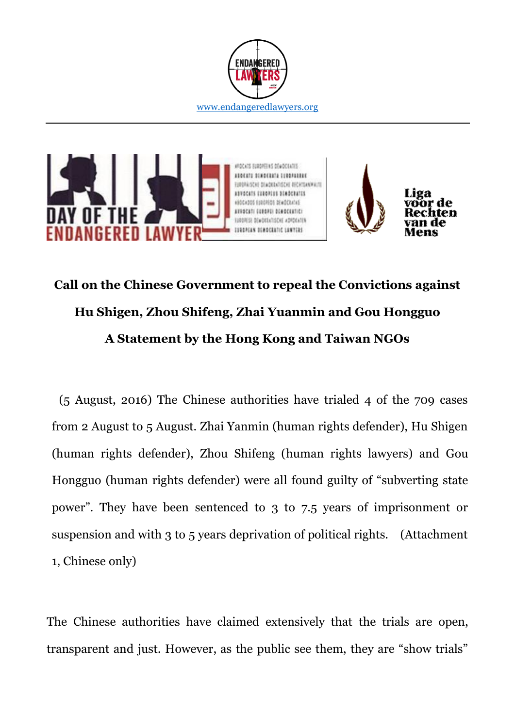



# **Call on the Chinese Government to repeal the Convictions against Hu Shigen, Zhou Shifeng, Zhai Yuanmin and Gou Hongguo A Statement by the Hong Kong and Taiwan NGOs**

(5 August, 2016) The Chinese authorities have trialed 4 of the 709 cases from 2 August to 5 August. Zhai Yanmin (human rights defender), Hu Shigen (human rights defender), Zhou Shifeng (human rights lawyers) and Gou Hongguo (human rights defender) were all found guilty of "subverting state power". They have been sentenced to 3 to 7.5 years of imprisonment or suspension and with 3 to 5 years deprivation of political rights. (Attachment 1, Chinese only)

The Chinese authorities have claimed extensively that the trials are open, transparent and just. However, as the public see them, they are "show trials"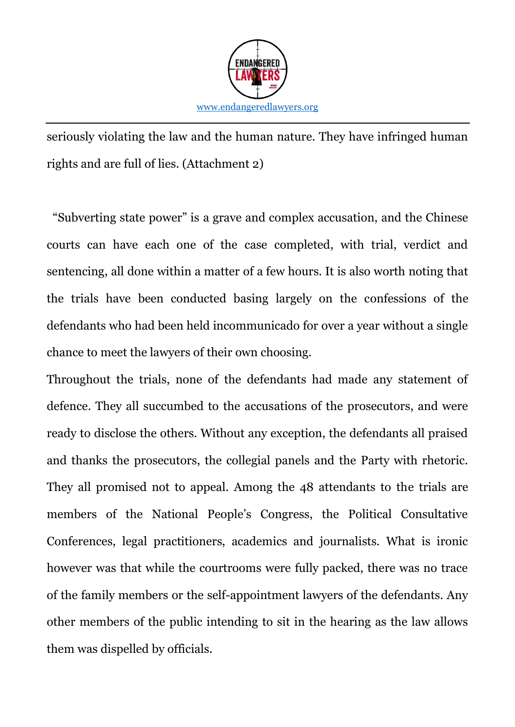

seriously violating the law and the human nature. They have infringed human rights and are full of lies. (Attachment 2)

"Subverting state power" is a grave and complex accusation, and the Chinese courts can have each one of the case completed, with trial, verdict and sentencing, all done within a matter of a few hours. It is also worth noting that the trials have been conducted basing largely on the confessions of the defendants who had been held incommunicado for over a year without a single chance to meet the lawyers of their own choosing.

Throughout the trials, none of the defendants had made any statement of defence. They all succumbed to the accusations of the prosecutors, and were ready to disclose the others. Without any exception, the defendants all praised and thanks the prosecutors, the collegial panels and the Party with rhetoric. They all promised not to appeal. Among the 48 attendants to the trials are members of the National People's Congress, the Political Consultative Conferences, legal practitioners, academics and journalists. What is ironic however was that while the courtrooms were fully packed, there was no trace of the family members or the self-appointment lawyers of the defendants. Any other members of the public intending to sit in the hearing as the law allows them was dispelled by officials.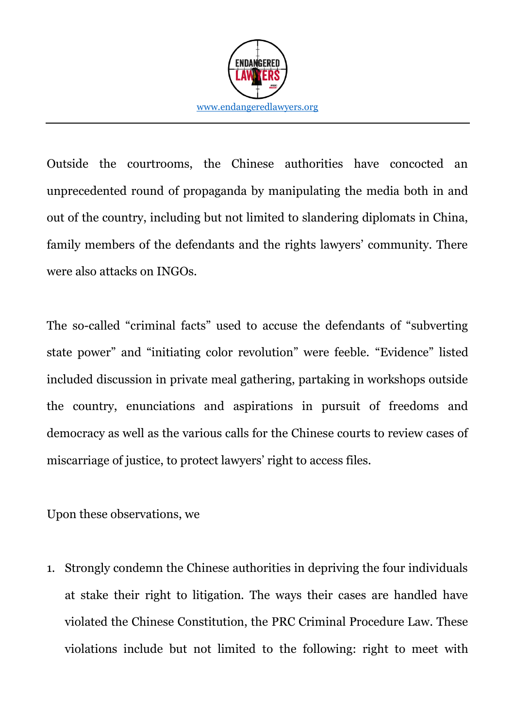

Outside the courtrooms, the Chinese authorities have concocted an unprecedented round of propaganda by manipulating the media both in and out of the country, including but not limited to slandering diplomats in China, family members of the defendants and the rights lawyers' community. There were also attacks on INGOs.

The so-called "criminal facts" used to accuse the defendants of "subverting state power" and "initiating color revolution" were feeble. "Evidence" listed included discussion in private meal gathering, partaking in workshops outside the country, enunciations and aspirations in pursuit of freedoms and democracy as well as the various calls for the Chinese courts to review cases of miscarriage of justice, to protect lawyers' right to access files.

Upon these observations, we

1. Strongly condemn the Chinese authorities in depriving the four individuals at stake their right to litigation. The ways their cases are handled have violated the Chinese Constitution, the PRC Criminal Procedure Law. These violations include but not limited to the following: right to meet with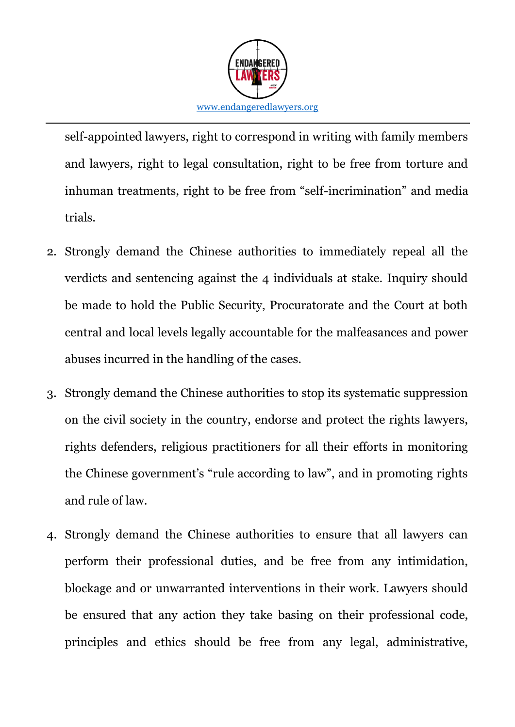

self-appointed lawyers, right to correspond in writing with family members and lawyers, right to legal consultation, right to be free from torture and inhuman treatments, right to be free from "self-incrimination" and media trials.

- 2. Strongly demand the Chinese authorities to immediately repeal all the verdicts and sentencing against the 4 individuals at stake. Inquiry should be made to hold the Public Security, Procuratorate and the Court at both central and local levels legally accountable for the malfeasances and power abuses incurred in the handling of the cases.
- 3. Strongly demand the Chinese authorities to stop its systematic suppression on the civil society in the country, endorse and protect the rights lawyers, rights defenders, religious practitioners for all their efforts in monitoring the Chinese government's "rule according to law", and in promoting rights and rule of law.
- 4. Strongly demand the Chinese authorities to ensure that all lawyers can perform their professional duties, and be free from any intimidation, blockage and or unwarranted interventions in their work. Lawyers should be ensured that any action they take basing on their professional code, principles and ethics should be free from any legal, administrative,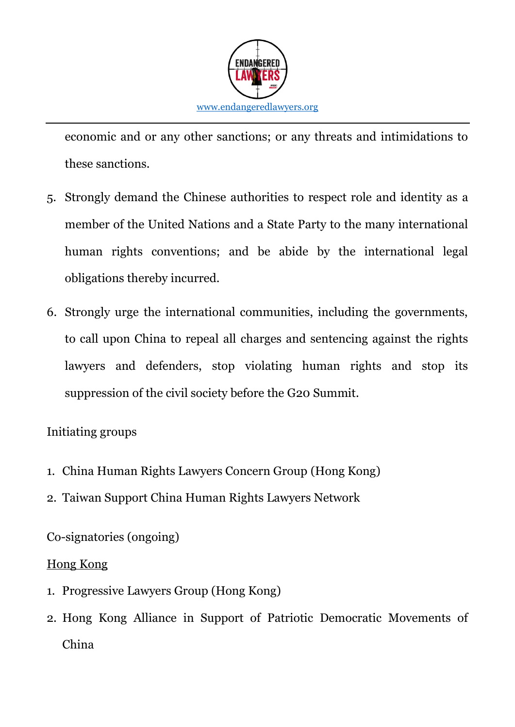

economic and or any other sanctions; or any threats and intimidations to these sanctions.

- 5. Strongly demand the Chinese authorities to respect role and identity as a member of the United Nations and a State Party to the many international human rights conventions; and be abide by the international legal obligations thereby incurred.
- 6. Strongly urge the international communities, including the governments, to call upon China to repeal all charges and sentencing against the rights lawyers and defenders, stop violating human rights and stop its suppression of the civil society before the G20 Summit.

# Initiating groups

- 1. China Human Rights Lawyers Concern Group (Hong Kong)
- 2. Taiwan Support China Human Rights Lawyers Network

Co-signatories (ongoing)

### Hong Kong

- 1. Progressive Lawyers Group (Hong Kong)
- 2. Hong Kong Alliance in Support of Patriotic Democratic Movements of China